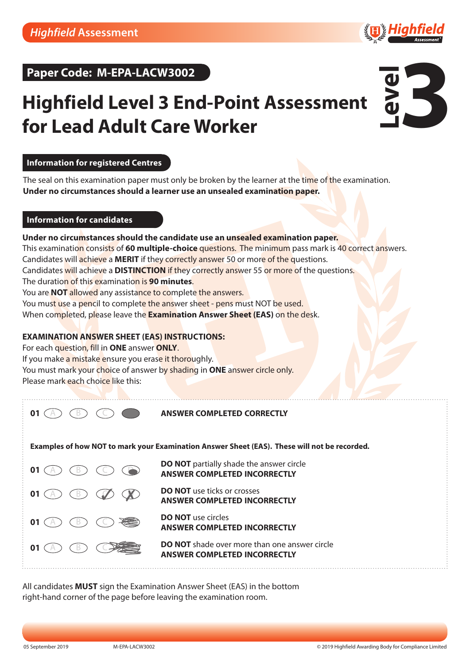



# **Highfield Level 3 End-Point Assessment for Lead Adult Care Worker**



# **Information for registered Centres**

**Information for registered centres Under no circumstances should a learner use an unsealed examination paper.** The seal on this examination paper must only be broken by the learner at the time of the examination.

The seal on this examination paper must only be broken by the candidate at the time of the examination.

### **Information for candidates and** *a* **<b>c b example 2 examine 2 examine 2 examine 2 examine 2 examine 2**

# **Under no circumstances should the candidate use an unsealed examination paper.**

**Information for candidates** This examination consists of **60 multiple-choice** questions. The minimum pass mark is 40 correct answers. Candidates will achieve a MERIT if they correctly answer 50 or more of the questions. Candidates will achieve a DISTINCTION if they correctly answer 55 or more of the questions. The duratio<mark>n of this ex</mark>aminatio<mark>n is **90 minutes**. The 45 questions of the 45 questions of the 45 questions. The 45 questions of the 45 questions of the 45 questions. The 45 questions of the 45 questions of the 45 questi</mark> You are **NOT** allowed any assista<mark>nce to co</mark>mplete the answers. You mus<mark>t u</mark>se a <mark>penc</mark>il to complet<mark>e the ans</mark>wer sh<mark>eet - pens mu</mark>st NOT be used. When co<mark>mpl</mark>eted, p<mark>l</mark>ease leave the <mark>Examination Answer Sheet (EAS)</mark> o<mark>n the des</mark>k.

# **EXAMINATION ANSWER SHEET (EAS) INSTRUCTIONS:**

**Example 2 Sheet Example 2 Sheet Concrete Concrete Association of the Sheet Concrete Association of the Sheet Concrete Association of the Sheet Concrete Association of the Sheet Concrete Association of the Sheet Concrete A** 

If you make <mark>a mist</mark>ake ensure you erase it thoroughly.

You must mar<mark>k your cho</mark>ice of answer b<mark>y shadin</mark>g in **ONE** a<mark>nswer circle only.</mark>

**Thease mark each choice like this:** The answer conduction of answer circle only.

01  $(A)$ 

**ANSWER COMPLETED CORRECTLY**

**Examples of how NOT to mark your Examination Answer Sheet (EAS). These will not be recorded.**





**ANSWER COMPLETED INCORRECTLY**

**DO NOT** use circles **ANSWER COMPLETED INCORRECTLY**

**DO NOT** shade over more than one answer circle **ANSWER COMPLETED INCORRECTLY**

All candidates **MUST** sign the Examination Answer Sheet (EAS) in the bottom right-hand corner of the page before leaving the examination room. right-hand corner of the page before leaving the examination room. All candidates **MUST** sign the Examination Answer Sheet (EAS) in the bottom

*We listen and respond We listen and respond*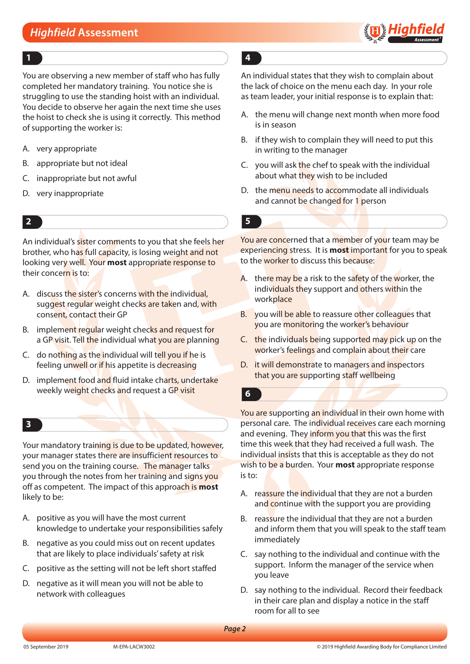

### **1 4**

You are observing a new member of staff who has fully completed her mandatory training. You notice she is struggling to use the standing hoist with an individual. You decide to observe her again the next time she uses the hoist to check she is using it correctly. This method of supporting the worker is:

- A. very appropriate
- B. appropriate but not ideal
- C. inappropriate but not awful
- D. very inappropriate

An individual's sister comments to you that she feels her brother, who has full capacity, is losing weight and not looking very well. Your **most** appropriate response to their concern is to:

- A. discuss the sister's concerns with the individual, suggest regular weight checks are taken and, with consent, contact their GP
- B. implement regular weight checks and request for a GP visit. Tell the individual what you are planning
- C. do nothing as the individual will tell you if he is feeling unwell or if his appetite is decreasing
- D. implement food and fluid intake charts, undertake weekly weight checks and request a GP visit

### **3**

Your mandatory training is due to be updated, however, your manager states there are insufficient resources to send you on the training course. The manager talks you through the notes from her training and signs you off as competent. The impact of this approach is **most** likely to be:

- A. positive as you will have the most current knowledge to undertake your responsibilities safely
- B. negative as you could miss out on recent updates that are likely to place individuals' safety at risk
- C. positive as the setting will not be left short staffed
- D. negative as it will mean you will not be able to network with colleagues

An individual states that they wish to complain about the lack of choice on the menu each day. In your role as team leader, your initial response is to explain that:

- A. the menu will change next month when more food is in season
- B. if they wish to complain they will need to put this in writing to the manager
- C. you will ask the chef to speak with the individual about what they wish to be included
- D. the menu needs to accommodate all individuals and cannot be changed for 1 person

### **2 5**

You are concerned that a member of your team may be experiencing stress. It is **most** important for you to speak to the worker to discuss this because:

- A. there may be a risk to the safety of the worker, the individuals they support and others within the work**place**
- B. you will be able to reassure other colleagues that you are monitoring the worker's behaviour
- C. the individuals being supported may pick up on the worker's feelings and complain about their care
- D. it will demonstrate to managers and inspectors that you are supporting staff wellbeing

**6**

You are supporting an individual in their own home with personal care. The individual receives care each morning and evening. They inform you that this was the first time this week that they had received a full wash. The individual insists that this is acceptable as they do not wish to be a burden. Your **most** appropriate response is to:

- A. reassure the individual that they are not a burden and continue with the support you are providing
- B. reassure the individual that they are not a burden and inform them that you will speak to the staff team immediately
- C. say nothing to the individual and continue with the support. Inform the manager of the service when you leave
- D. say nothing to the individual. Record their feedback in their care plan and display a notice in the staff room for all to see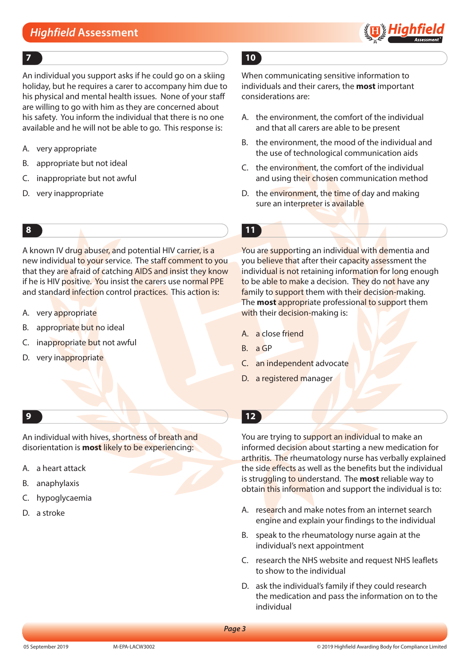

An individual you support asks if he could go on a skiing holiday, but he requires a carer to accompany him due to his physical and mental health issues. None of your staff are willing to go with him as they are concerned about his safety. You inform the individual that there is no one available and he will not be able to go. This response is:

- A. very appropriate
- B. appropriate but not ideal
- C. inappropriate but not awful
- D. very inappropriate

A known IV drug abuser, and potential HIV carrier, is a new individual to your service. The staff comment to you that they are afraid of catching AIDS and insist they know if he is HIV positive. You insist the carers use normal PPE and standard infection control practices. This action is:

- A. very appropriate
- B. appropriate but no ideal
- C. inappropriate but not awful
- D. very inappropriate

An individual with hives, shortness of breath and disorientation is **most** likely to be experiencing:

- A. a heart attack
- B. anaphylaxis
- C. hypoglycaemia
- D. a stroke

# **7 10**

When communicating sensitive information to individuals and their carers, the **most** important considerations are:

- A. the environment, the comfort of the individual and that all carers are able to be present
- B. the environment, the mood of the individual and the use of technological communication aids
- C. the environment, the comfort of the individual and using their chosen communication method
- D. the environment, the time of day and making sure an interpreter is available

# **8 11**

You are supporting an individual with dementia and you believe that after their capacity assessment the individual is not retaining information for long enough to be able to make a decision. They do not have any family to support them with their decision-making. The **most** appropriate professional to support them with their decision-making is:

- A. a close friend
- B. a GP
- C. an independent advocate
- D. a registered manager

# **9 12**

You are trying to support an individual to make an informed decision about starting a new medication for arthritis. The rheumatology nurse has verbally explained the side effects as well as the benefits but the individual is struggling to understand. The **most** reliable way to obtain this information and support the individual is to:

- A. research and make notes from an internet search engine and explain your findings to the individual
- B. speak to the rheumatology nurse again at the individual's next appointment
- C. research the NHS website and request NHS leaflets to show to the individual
- D. ask the individual's family if they could research the medication and pass the information on to the individual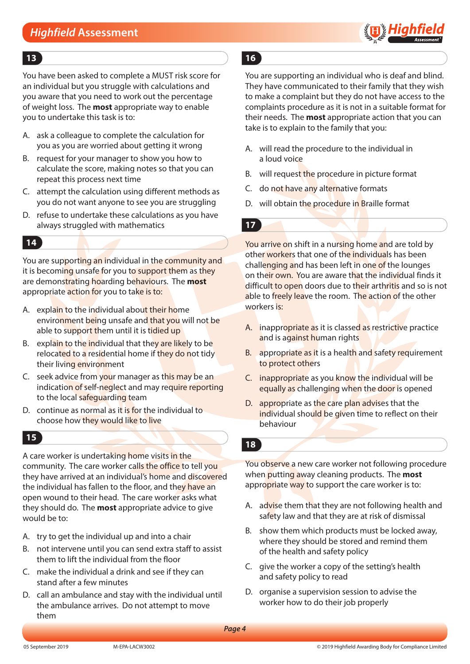

### **13 16**

You have been asked to complete a MUST risk score for an individual but you struggle with calculations and you aware that you need to work out the percentage of weight loss. The **most** appropriate way to enable you to undertake this task is to:

- A. ask a colleague to complete the calculation for you as you are worried about getting it wrong
- B. request for your manager to show you how to calculate the score, making notes so that you can repeat this process next time
- C. attempt the calculation using different methods as you do not want anyone to see you are struggling
- D. refuse to undertake these calculations as you have always struggled with mathematics

# **14**

You are supporting an individual in the community and it is becoming unsafe for you to support them as they are demonstrating hoarding behaviours. The **most** appropriate action for you to take is to:

- A. explain to the individual about their home environment being unsafe and that you will not be able to support them until it is tidied up
- B. explain to the individual that they are likely to be relocated to a residential home if they do not tidy their living environment
- C. seek advice from your manager as this may be an indication of self-neglect and may require reporting to the local safeguarding team
- D. continue as normal as it is for the individual to choose how they would like to live

# **15**

A care worker is undertaking home visits in the community. The care worker calls the office to tell you they have arrived at an individual's home and discovered the individual has fallen to the floor, and they have an open wound to their head. The care worker asks what they should do. The **most** appropriate advice to give would be to:

- A. try to get the individual up and into a chair
- B. not intervene until you can send extra staff to assist them to lift the individual from the floor
- C. make the individual a drink and see if they can stand after a few minutes
- D. call an ambulance and stay with the individual until the ambulance arrives. Do not attempt to move them

You are supporting an individual who is deaf and blind. They have communicated to their family that they wish to make a complaint but they do not have access to the complaints procedure as it is not in a suitable format for their needs. The **most** appropriate action that you can take is to explain to the family that you:

- A. will read the procedure to the individual in a loud voice
- B. will request the procedure in picture format
- C. do not have any alternative formats
- D. will obtain the procedure in Braille format

# **17**

You arrive on shift in a nursing home and are told by other workers that one of the individuals has been challenging and has been left in one of the lounges on their own. You are aware that the individual finds it difficult to open doors due to their arthritis and so is not able to freely leave the room. The action of the other workers is:

- A. inappropriate as it is classed as restrictive practice and is against human rights
- B. appropriate as it is a health and safety requirement to protect others
- C. inappropriate as you know the individual will be equally as challenging when the door is opened
- D. appropriate as the care plan advises that the individual should be given time to reflect on their behaviour

### **18**

You observe a new care worker not following procedure when putting away cleaning products. The **most** appropriate way to support the care worker is to:

- A. advise them that they are not following health and safety law and that they are at risk of dismissal
- B. show them which products must be locked away, where they should be stored and remind them of the health and safety policy
- C. give the worker a copy of the setting's health and safety policy to read
- D. organise a supervision session to advise the worker how to do their job properly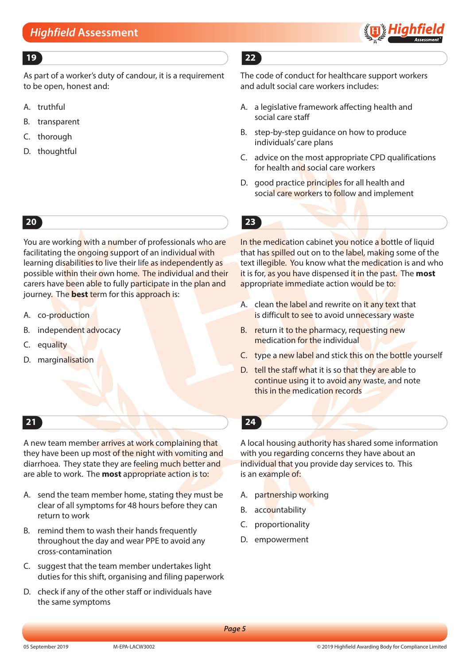

As part of a worker's duty of candour, it is a requirement to be open, honest and:

- A. truthful
- B. transparent
- C. thorough
- D. thoughtful

# **20**

You are working with a number of professionals who are facilitating the ongoing support of an individual with learning disabilities to live their life as independently as possible within their own home. The individual and their carers have been able to fully participate in the plan and journey. The **best** term for this approach is:

- A. co-production
- B. independent advocacy
- C. equality
- D. marginalisation

A new team member arrives at work complaining that they have been up most of the night with vomiting and diarrhoea. They state they are feeling much better and are able to work. The **most** appropriate action is to:

- A. send the team member home, stating they must be clear of all symptoms for 48 hours before they can return to work
- B. remind them to wash their hands frequently throughout the day and wear PPE to avoid any cross-contamination
- C. suggest that the team member undertakes light duties for this shift, organising and filing paperwork
- D. check if any of the other staff or individuals have the same symptoms

# **19 22**

The code of conduct for healthcare support workers and adult social care workers includes:

- A. a legislative framework affecting health and social care staff
- B. step-by-step guidance on how to produce individuals' care plans
- C. advice on the most appropriate CPD qualifications for health and social care workers
- D. good practice principles for all health and social care workers to follow and implement



In the medication cabinet you notice a bottle of liquid that has spilled out on to the label, making some of the text illegible. You know what the medication is and who it is for, as you have dispensed it in the past. The **most** appropriate immediate action would be to:

- A. clean the label and rewrite on it any text that is difficult to see to avoid unnecessary waste
- B. return it to the pharmacy, requesting new medication for the individual
- C. type a new label and stick this on the bottle yourself
- D. tell the staff what it is so that they are able to continue using it to avoid any waste, and note this in the medication records
- **21 24**

A local housing authority has shared some information with you regarding concerns they have about an individual that you provide day services to. This is an example of:

- A. partnership working
- B. accountability
- C. proportionality
- D. empowerment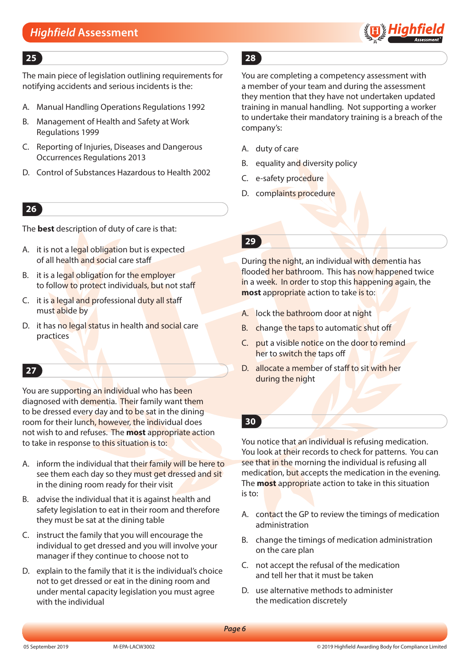

The main piece of legislation outlining requirements for notifying accidents and serious incidents is the:

- A. Manual Handling Operations Regulations 1992
- B. Management of Health and Safety at Work Regulations 1999
- C. Reporting of Injuries, Diseases and Dangerous Occurrences Regulations 2013
- D. Control of Substances Hazardous to Health 2002

# **26**

The **best** description of duty of care is that:

- A. it is not a legal obligation but is expected of all health and social care staff
- B. it is a legal obligation for the employer to follow to protect individuals, but not staff
- C. it is a legal and professional duty all staff must abide by
- D. it has no legal status in health and social care practices

# **27**

You are supporting an individual who has been diagnosed with dementia. Their family want them to be dressed every day and to be sat in the dining room for their lunch, however, the individual does not wish to and refuses. The **most** appropriate action to take in response to this situation is to:

- A. inform the individual that their family will be here to see them each day so they must get dressed and sit in the dining room ready for their visit
- B. advise the individual that it is against health and safety legislation to eat in their room and therefore they must be sat at the dining table
- C. instruct the family that you will encourage the individual to get dressed and you will involve your manager if they continue to choose not to
- D. explain to the family that it is the individual's choice not to get dressed or eat in the dining room and under mental capacity legislation you must agree with the individual

# **25 28**

You are completing a competency assessment with a member of your team and during the assessment they mention that they have not undertaken updated training in manual handling. Not supporting a worker to undertake their mandatory training is a breach of the company's:

- A. duty of care
- B. equality and diversity policy
- C. e-safety procedure
- D. complaints procedure

During the night, an individual with dementia has flooded her bathroom. This has now happened twice in a week. In order to stop this happening again, the **most** appropriate action to take is to:

- A. lock the bathroom door at night
- B. change the taps to automatic shut off
- C. put a visible notice on the door to remind her to switch the taps off
- D. allocate a member of staff to sit with her during the night

# **30**

You notice that an individual is refusing medication. You look at their records to check for patterns. You can see that in the morning the individual is refusing all medication, but accepts the medication in the evening. The **most** appropriate action to take in this situation is to:

- A. contact the GP to review the timings of medication administration
- B. change the timings of medication administration on the care plan
- C. not accept the refusal of the medication and tell her that it must be taken
- D. use alternative methods to administer the medication discretely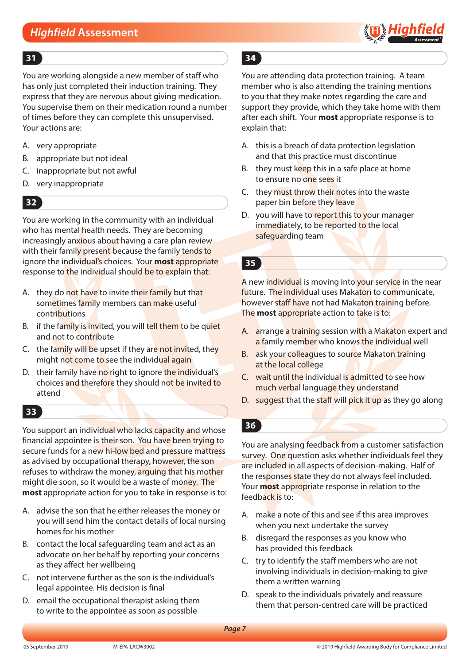

You are working alongside a new member of staff who has only just completed their induction training. They express that they are nervous about giving medication. You supervise them on their medication round a number of times before they can complete this unsupervised. Your actions are:

- A. very appropriate
- B. appropriate but not ideal
- C. inappropriate but not awful
- D. very inappropriate

# **32**

You are working in the community with an individual who has mental health needs. They are becoming increasingly anxious about having a care plan review with their family present because the family tends to ignore the individual's choices. Your **most** appropriate response to the individual should be to explain that:

- A. they do not have to invite their family but that sometimes family members can make useful contributions
- B. if the family is invited, you will tell them to be quiet and not to contribute
- C. the family will be upset if they are not invited, they might not come to see the individual again
- D. their family have no right to ignore the individual's choices and therefore they should not be invited to attend

### **33**

You support an individual who lacks capacity and whose financial appointee is their son. You have been trying to secure funds for a new hi-low bed and pressure mattress as advised by occupational therapy, however, the son refuses to withdraw the money, arguing that his mother might die soon, so it would be a waste of money. The **most** appropriate action for you to take in response is to:

- A. advise the son that he either releases the money or you will send him the contact details of local nursing homes for his mother
- B. contact the local safeguarding team and act as an advocate on her behalf by reporting your concerns as they affect her wellbeing
- C. not intervene further as the son is the individual's legal appointee. His decision is final
- D. email the occupational therapist asking them to write to the appointee as soon as possible

# **31 34**

You are attending data protection training. A team member who is also attending the training mentions to you that they make notes regarding the care and support they provide, which they take home with them after each shift. Your **most** appropriate response is to explain that:

- A. this is a breach of data protection legislation and that this practice must discontinue
- B. they must keep this in a safe place at home to ensure no one sees it
- C. they must throw their notes into the waste paper bin before they leave
- D. you will have to report this to your manager immediately, to be reported to the local safeguarding team

# **35**

A new individual is moving into your service in the near future. The individual uses Makaton to communicate, however staff have not had Makaton training before. The **most** appropriate action to take is to:

- A. arrange a training session with a Makaton expert and a family member who knows the individual well
- B. ask your colleagues to source Makaton training at the local college
- C. wait until the individual is admitted to see how much verbal language they understand
- D. suggest that the staff will pick it up as they go along

# **36**

You are analysing feedback from a customer satisfaction survey. One question asks whether individuals feel they are included in all aspects of decision-making. Half of the responses state they do not always feel included. Your **most** appropriate response in relation to the feedback is to:

- A. make a note of this and see if this area improves when you next undertake the survey
- B. disregard the responses as you know who has provided this feedback
- C. try to identify the staff members who are not involving individuals in decision-making to give them a written warning
- D. speak to the individuals privately and reassure them that person-centred care will be practiced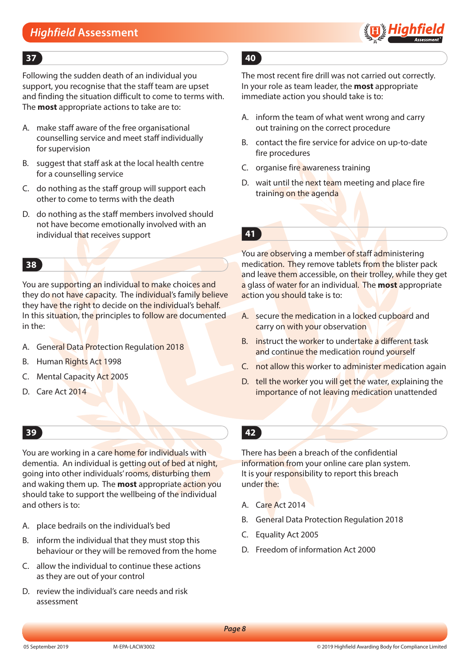

### **37 40**

Following the sudden death of an individual you support, you recognise that the staff team are upset and finding the situation difficult to come to terms with. The **most** appropriate actions to take are to:

- A. make staff aware of the free organisational counselling service and meet staff individually for supervision
- B. suggest that staff ask at the local health centre for a counselling service
- C. do nothing as the staff group will support each other to come to terms with the death
- D. do nothing as the staff members involved should not have become emotionally involved with an individual that receives support

# **38**

You are supporting an individual to make choices and they do not have capacity. The individual's family believe they have the right to decide on the individual's behalf. In this situation, the principles to follow are documented in the:

- A. General Data Protection Regulation 2018
- B. Human Rights Act 1998
- C. Mental Capacity Act 2005
- D. Care Act 2014

### **39 42**

You are working in a care home for individuals with dementia. An individual is getting out of bed at night, going into other individuals' rooms, disturbing them and waking them up. The **most** appropriate action you should take to support the wellbeing of the individual and others is to:

- A. place bedrails on the individual's bed
- B. inform the individual that they must stop this behaviour or they will be removed from the home
- C. allow the individual to continue these actions as they are out of your control
- D. review the individual's care needs and risk assessment

The most recent fire drill was not carried out correctly. In your role as team leader, the **most** appropriate immediate action you should take is to:

- A. inform the team of what went wrong and carry out training on the correct procedure
- B. contact the fire service for advice on up-to-date fire procedures
- C. organise fire awareness training
- D. wait until the next team meeting and place fire training on the agenda

**41**

You are observing a member of staff administering medication. They remove tablets from the blister pack and leave them accessible, on their trolley, while they get a glass of water for an individual. The **most** appropriate action you should take is to:

- A. secure the medication in a locked cupboard and carry on with your observation
- B. instruct the worker to undertake a different task and continue the medication round yourself
- C. not allow this worker to administer medication again
- D. tell the worker you will get the water, explaining the importance of not leaving medication unattended
	-

There has been a breach of the confidential information from your online care plan system. It is your responsibility to report this breach under the:

- A. Care Act 2014
- B. General Data Protection Regulation 2018
- C. Equality Act 2005
- D. Freedom of information Act 2000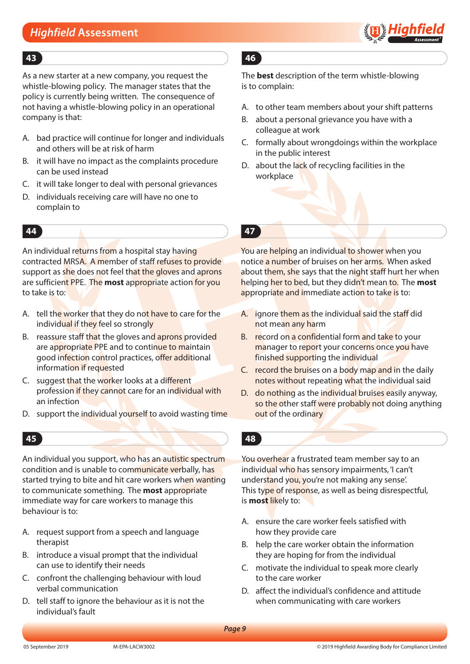

As a new starter at a new company, you request the whistle-blowing policy. The manager states that the policy is currently being written. The consequence of not having a whistle-blowing policy in an operational company is that:

- A. bad practice will continue for longer and individuals and others will be at risk of harm
- B. it will have no impact as the complaints procedure can be used instead
- C. it will take longer to deal with personal grievances
- D. individuals receiving care will have no one to complain to

An individual returns from a hospital stay having contracted MRSA. A member of staff refuses to provide support as she does not feel that the gloves and aprons are sufficient PPE. The **most** appropriate action for you to take is to:

- A. tell the worker that they do not have to care for the individual if they feel so strongly
- B. reassure staff that the gloves and aprons provided are appropriate PPE and to continue to maintain good infection control practices, offer additional information if requested
- C. suggest that the worker looks at a different profession if they cannot care for an individual with an infection
- D. support the individual yourself to avoid wasting time

### **45 48**

An individual you support, who has an autistic spectrum condition and is unable to communicate verbally, has started trying to bite and hit care workers when wanting to communicate something. The **most** appropriate immediate way for care workers to manage this behaviour is to:

- A. request support from a speech and language therapist
- B. introduce a visual prompt that the individual can use to identify their needs
- C. confront the challenging behaviour with loud verbal communication
- D. tell staff to ignore the behaviour as it is not the individual's fault

# **43 46**

The **best** description of the term whistle-blowing is to complain:

- A. to other team members about your shift patterns
- B. about a personal grievance you have with a colleague at work
- C. formally about wrongdoings within the workplace in the public interest
- D. about the lack of recycling facilities in the workplace

### **44 47**

You are helping an individual to shower when you notice a number of bruises on her arms. When asked about them, she says that the night staff hurt her when helping her to bed, but they didn't mean to. The **most** appropriate and immediate action to take is to:

- A. ignore them as the individual said the staff did not mean any harm
- B. record on a confidential form and take to your manager to report your concerns once you have finished supporting the individual
- C. record the bruises on a body map and in the daily notes without repeating what the individual said
- D. do nothing as the individual bruises easily anyway, so the other staff were probably not doing anything out of the ordinary

You overhear a frustrated team member say to an individual who has sensory impairments, 'I can't understand you, you're not making any sense. This type of response, as well as being disrespectful, is **most** likely to:

- A. ensure the care worker feels satisfied with how they provide care
- B. help the care worker obtain the information they are hoping for from the individual
- C. motivate the individual to speak more clearly to the care worker
- D. affect the individual's confidence and attitude when communicating with care workers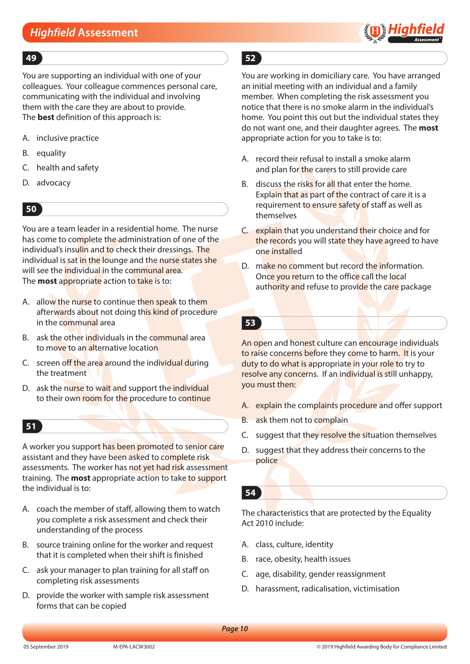

### **49 52**

You are supporting an individual with one of your colleagues. Your colleague commences personal care, communicating with the individual and involving them with the care they are about to provide. The **best** definition of this approach is:

- A. inclusive practice
- B. equality
- C. health and safety
- D. advocacy

# **50**

You are a team leader in a residential home. The nurse has come to complete the administration of one of the individual's insulin and to check their dressings. The individual is sat in the lounge and the nurse states she will see the **individual in the communal area.** The **most** appropriate action to take is to:

- A. allow the nurse to continue then speak to them afterwards about not doing this kind of procedure in the communal area
- B. ask the other individuals in the communal area to move to an alternative location
- C. screen off the area around the individual during the treatment
- D. ask the nurse to wait and support the individual to their own room for the procedure to continue

### **51**

A worker you support has been promoted to senior care assistant and they have been asked to complete risk assessments. The worker has not yet had risk assessment training. The **most** appropriate action to take to support the individual is to:

- A. coach the member of staff, allowing them to watch you complete a risk assessment and check their understanding of the process
- B. source training online for the worker and request that it is completed when their shift is finished
- C. ask your manager to plan training for all staff on completing risk assessments
- D. provide the worker with sample risk assessment forms that can be copied

You are working in domiciliary care. You have arranged an initial meeting with an individual and a family member. When completing the risk assessment you notice that there is no smoke alarm in the individual's home. You point this out but the individual states they do not want one, and their daughter agrees. The **most** appropriate action for you to take is to:

- A. record their refusal to install a smoke alarm and plan for the carers to still provide care
- B. discuss the risks for all that enter the home. Explain that as part of the contract of care it is a requirement to ensure safety of staff as well as themselves
- C. explain that you understand their choice and for the records you will state they have agreed to have one installed
- D. make no comment but record the information. Once you return to the office call the local authority and refuse to provide the care package

**53**

An open and honest culture can encourage individuals to raise concerns before they come to harm. It is your duty to do what is appropriate in your role to try to resolve any concerns. If an individual is still unhappy, you must then:

- A. explain the complaints procedure and offer support
- B. ask them not to complain
- C. suggest that they resolve the situation themselves
- D. suggest that they address their concerns to the police

### **54**

The characteristics that are protected by the Equality Act 2010 include:

- A. class, culture, identity
- B. race, obesity, health issues
- C. age, disability, gender reassignment
- D. harassment, radicalisation, victimisation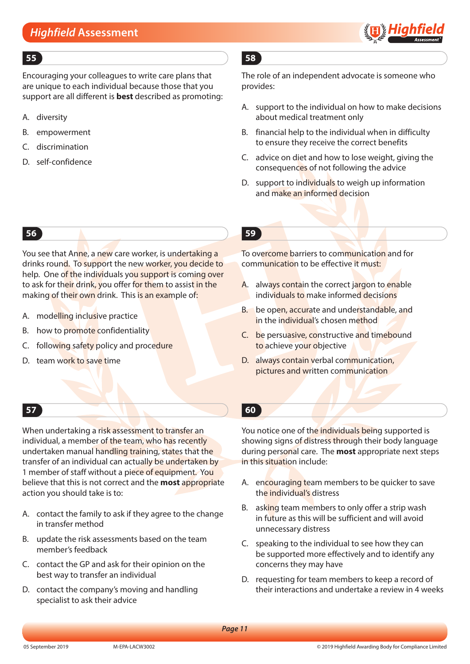

Encouraging your colleagues to write care plans that are unique to each individual because those that you support are all different is **best** described as promoting:

- A. diversity
- B. empowerment
- C. discrimination
- D. self-confidence

You see that Anne, a new care worker, is undertaking a drinks round. To support the new worker, you decide to help. One of the individuals you support is coming over to ask for their drink, you offer for them to assist in the making of their own drink. This is an example of:

- A. modelling inclusive practice
- B. how to promote confidentiality
- C. following safety policy and procedure
- D. team work to save time

# **55 58**

The role of an independent advocate is someone who provides:

- A. support to the individual on how to make decisions about medical treatment only
- B. financial help to the individual when in difficulty to ensure they receive the correct benefits
- C. advice on diet and how to lose weight, giving the consequences of not following the advice
- D. support to individuals to weigh up information and make an informed decision

# **56 59**

To overcome barriers to communication and for communication to be effective it must:

- A. always contain the correct jargon to enable individuals to make informed decisions
- B. be open, accurate and understandable, and in the individual's chosen method
- C. be persuasive, constructive and timebound to achieve your objective
- D. always contain verbal communication, pictures and written communication

# **57 60**

When undertaking a risk assessment to transfer an individual, a member of the team, who has recently undertaken manual handling training, states that the transfer of an individual can actually be undertaken by 1 member of staff without a piece of equipment. You believe that this is not correct and the **most** appropriate action you should take is to:

- A. contact the family to ask if they agree to the change in transfer method
- B. update the risk assessments based on the team member's feedback
- C. contact the GP and ask for their opinion on the best way to transfer an individual
- D. contact the company's moving and handling specialist to ask their advice

You notice one of the individuals being supported is showing signs of distress through their body language during personal care. The **most** appropriate next steps in this situation include:

- A. encouraging team members to be quicker to save the individual's distress
- B. asking team members to only offer a strip wash in future as this will be sufficient and will avoid unnecessary distress
- C. speaking to the individual to see how they can be supported more effectively and to identify any concerns they may have
- D. requesting for team members to keep a record of their interactions and undertake a review in 4 weeks